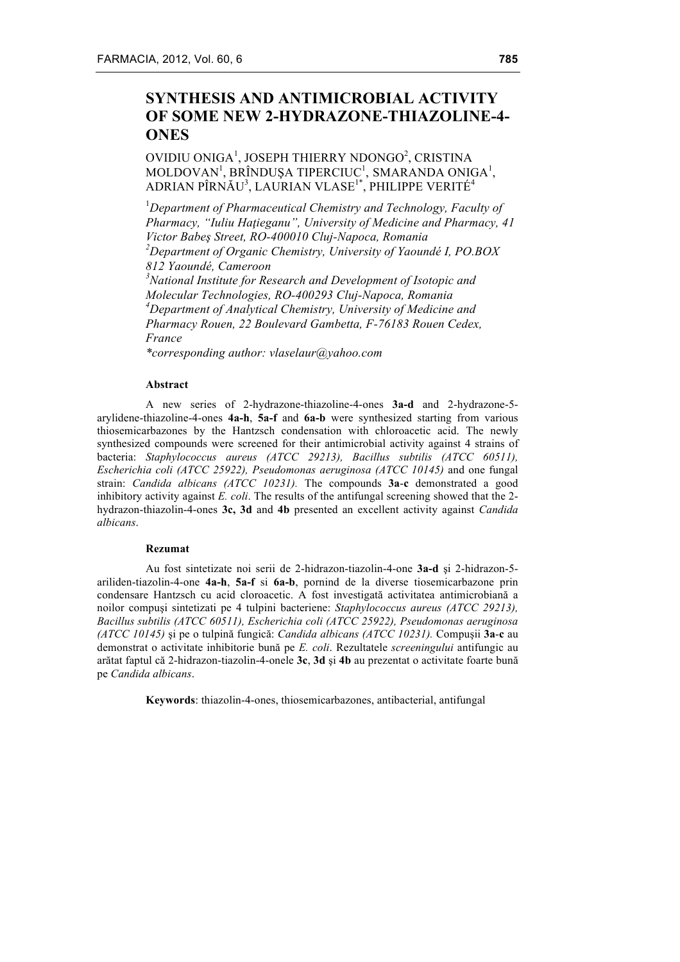# **SYNTHESIS AND ANTIMICROBIAL ACTIVITY OF SOME NEW 2-HYDRAZONE-THIAZOLINE-4- ONES**

## OVIDIU ONIGA<sup>1</sup>, JOSEPH THIERRY NDONGO<sup>2</sup>, CRISTINA  $MOLDOVAN<sup>1</sup>, BRÎNDUŞA TIPERCIUC<sup>1</sup>, SMARANDA ONIGA<sup>1</sup>,$ ADRIAN PÎRNĂU $^3$ , LAURIAN VLASE $^{\rm l}{}^*$ , PHILIPPE VERITÉ $^4$

1 *Department of Pharmaceutical Chemistry and Technology, Faculty of Pharmacy, "Iuliu Haţieganu", University of Medicine and Pharmacy, 41 Victor Babeş Street, RO-400010 Cluj-Napoca, Romania 2 Department of Organic Chemistry, University of Yaoundé I, PO.BOX 812 Yaoundé, Cameroon 3 National Institute for Research and Development of Isotopic and* 

*Molecular Technologies, RO-400293 Cluj-Napoca, Romania 4 Department of Analytical Chemistry, University of Medicine and Pharmacy Rouen, 22 Boulevard Gambetta, F-76183 Rouen Cedex, France*

*\*corresponding author: vlaselaur@yahoo.com*

#### **Abstract**

A new series of 2-hydrazone-thiazoline-4-ones **3a-d** and 2-hydrazone-5 arylidene-thiazoline-4-ones **4a-h**, **5a-f** and **6a-b** were synthesized starting from various thiosemicarbazones by the Hantzsch condensation with chloroacetic acid. The newly synthesized compounds were screened for their antimicrobial activity against 4 strains of bacteria: *Staphylococcus aureus (ATCC 29213), Bacillus subtilis (ATCC 60511), Escherichia coli (ATCC 25922), Pseudomonas aeruginosa (ATCC 10145)* and one fungal strain: *Candida albicans (ATCC 10231).* The compounds **3a**-**c** demonstrated a good inhibitory activity against *E. coli*. The results of the antifungal screening showed that the 2 hydrazon-thiazolin-4-ones **3c, 3d** and **4b** presented an excellent activity against *Candida albicans*.

#### **Rezumat**

Au fost sintetizate noi serii de 2-hidrazon-tiazolin-4-one **3a-d** şi 2-hidrazon-5 ariliden-tiazolin-4-one **4a-h**, **5a-f** si **6a-b**, pornind de la diverse tiosemicarbazone prin condensare Hantzsch cu acid cloroacetic. A fost investigată activitatea antimicrobiană a noilor compuşi sintetizati pe 4 tulpini bacteriene: *Staphylococcus aureus (ATCC 29213), Bacillus subtilis (ATCC 60511), Escherichia coli (ATCC 25922), Pseudomonas aeruginosa (ATCC 10145)* şi pe o tulpină fungică: *Candida albicans (ATCC 10231).* Compuşii **3a**-**c** au demonstrat o activitate inhibitorie bună pe *E. coli*. Rezultatele *screeningului* antifungic au arătat faptul că 2-hidrazon-tiazolin-4-onele **3c**, **3d** şi **4b** au prezentat o activitate foarte bună pe *Candida albicans*.

**Keywords**: thiazolin-4-ones, thiosemicarbazones, antibacterial, antifungal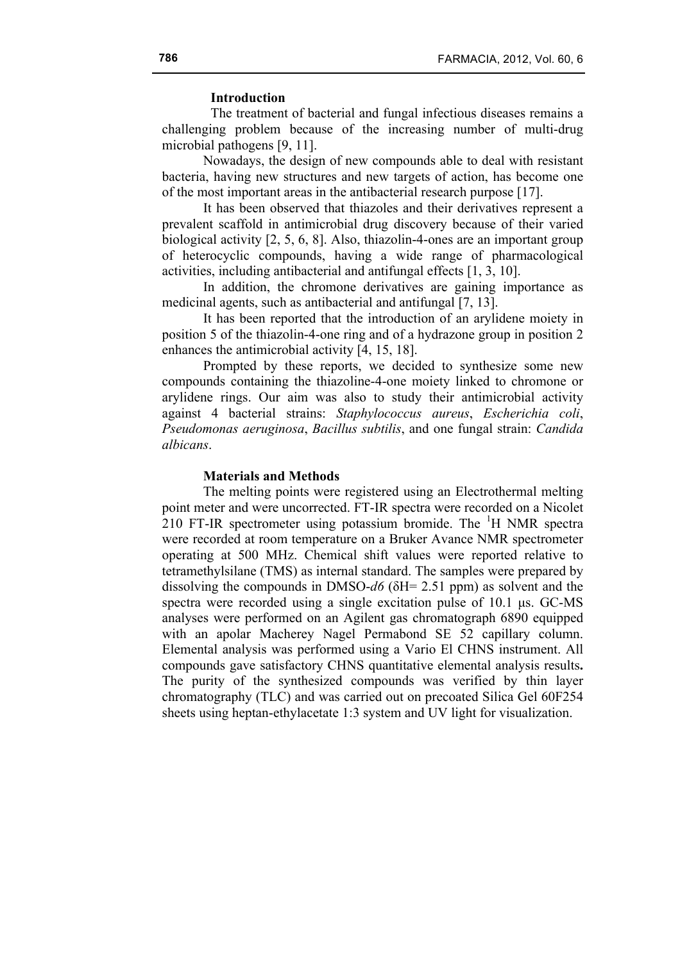## **Introduction**

The treatment of bacterial and fungal infectious diseases remains a challenging problem because of the increasing number of multi-drug microbial pathogens [9, 11].

Nowadays, the design of new compounds able to deal with resistant bacteria, having new structures and new targets of action, has become one of the most important areas in the antibacterial research purpose [17].

It has been observed that thiazoles and their derivatives represent a prevalent scaffold in antimicrobial drug discovery because of their varied biological activity [2, 5, 6, 8]. Also, thiazolin-4-ones are an important group of heterocyclic compounds, having a wide range of pharmacological activities, including antibacterial and antifungal effects [1, 3, 10].

In addition, the chromone derivatives are gaining importance as medicinal agents, such as antibacterial and antifungal [7, 13].

It has been reported that the introduction of an arylidene moiety in position 5 of the thiazolin-4-one ring and of a hydrazone group in position 2 enhances the antimicrobial activity [4, 15, 18].

Prompted by these reports, we decided to synthesize some new compounds containing the thiazoline-4-one moiety linked to chromone or arylidene rings. Our aim was also to study their antimicrobial activity against 4 bacterial strains: *Staphylococcus aureus*, *Escherichia coli*, *Pseudomonas aeruginosa*, *Bacillus subtilis*, and one fungal strain: *Candida albicans*.

### **Materials and Methods**

The melting points were registered using an Electrothermal melting point meter and were uncorrected. FT-IR spectra were recorded on a Nicolet  $210$  FT-IR spectrometer using potassium bromide. The  ${}^{1}$ H NMR spectra were recorded at room temperature on a Bruker Avance NMR spectrometer operating at 500 MHz. Chemical shift values were reported relative to tetramethylsilane (TMS) as internal standard. The samples were prepared by dissolving the compounds in DMSO-*d6* (δH= 2.51 ppm) as solvent and the spectra were recorded using a single excitation pulse of 10.1 µs. GC-MS analyses were performed on an Agilent gas chromatograph 6890 equipped with an apolar Macherey Nagel Permabond SE 52 capillary column. Elemental analysis was performed using a Vario El CHNS instrument. All compounds gave satisfactory CHNS quantitative elemental analysis results**.**  The purity of the synthesized compounds was verified by thin layer chromatography (TLC) and was carried out on precoated Silica Gel 60F254 sheets using heptan-ethylacetate 1:3 system and UV light for visualization.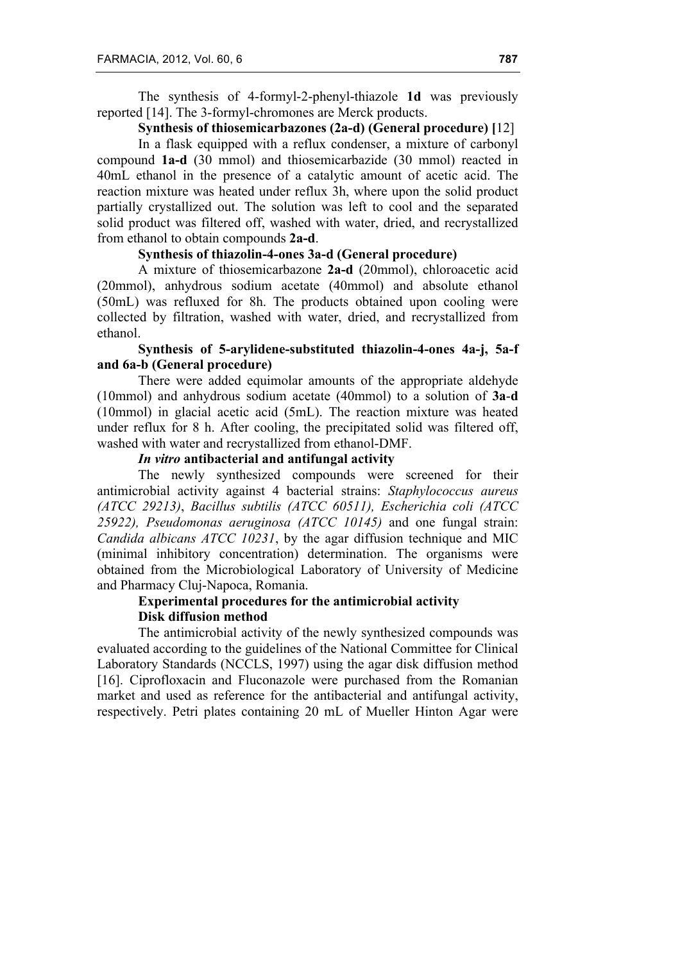The synthesis of 4-formyl-2-phenyl-thiazole **1d** was previously reported [14]. The 3-formyl-chromones are Merck products.

**Synthesis of thiosemicarbazones (2a-d) (General procedure) [**12]

In a flask equipped with a reflux condenser, a mixture of carbonyl compound **1a-d** (30 mmol) and thiosemicarbazide (30 mmol) reacted in 40mL ethanol in the presence of a catalytic amount of acetic acid. The reaction mixture was heated under reflux 3h, where upon the solid product partially crystallized out. The solution was left to cool and the separated solid product was filtered off, washed with water, dried, and recrystallized from ethanol to obtain compounds **2a-d**.

### **Synthesis of thiazolin-4-ones 3a-d (General procedure)**

A mixture of thiosemicarbazone **2a-d** (20mmol), chloroacetic acid (20mmol), anhydrous sodium acetate (40mmol) and absolute ethanol (50mL) was refluxed for 8h. The products obtained upon cooling were collected by filtration, washed with water, dried, and recrystallized from ethanol.

# **Synthesis of 5-arylidene-substituted thiazolin-4-ones 4a-j, 5a-f and 6a-b (General procedure)**

There were added equimolar amounts of the appropriate aldehyde (10mmol) and anhydrous sodium acetate (40mmol) to a solution of **3a**-**d**  (10mmol) in glacial acetic acid (5mL). The reaction mixture was heated under reflux for 8 h. After cooling, the precipitated solid was filtered off, washed with water and recrystallized from ethanol-DMF.

### *In vitro* **antibacterial and antifungal activity**

The newly synthesized compounds were screened for their antimicrobial activity against 4 bacterial strains: *Staphylococcus aureus (ATCC 29213)*, *Bacillus subtilis (ATCC 60511), Escherichia coli (ATCC 25922), Pseudomonas aeruginosa (ATCC 10145)* and one fungal strain: *Candida albicans ATCC 10231*, by the agar diffusion technique and MIC (minimal inhibitory concentration) determination. The organisms were obtained from the Microbiological Laboratory of University of Medicine and Pharmacy Cluj-Napoca, Romania.

## **Experimental procedures for the antimicrobial activity Disk diffusion method**

The antimicrobial activity of the newly synthesized compounds was evaluated according to the guidelines of the National Committee for Clinical Laboratory Standards (NCCLS, 1997) using the agar disk diffusion method [16]. Ciprofloxacin and Fluconazole were purchased from the Romanian market and used as reference for the antibacterial and antifungal activity, respectively. Petri plates containing 20 mL of Mueller Hinton Agar were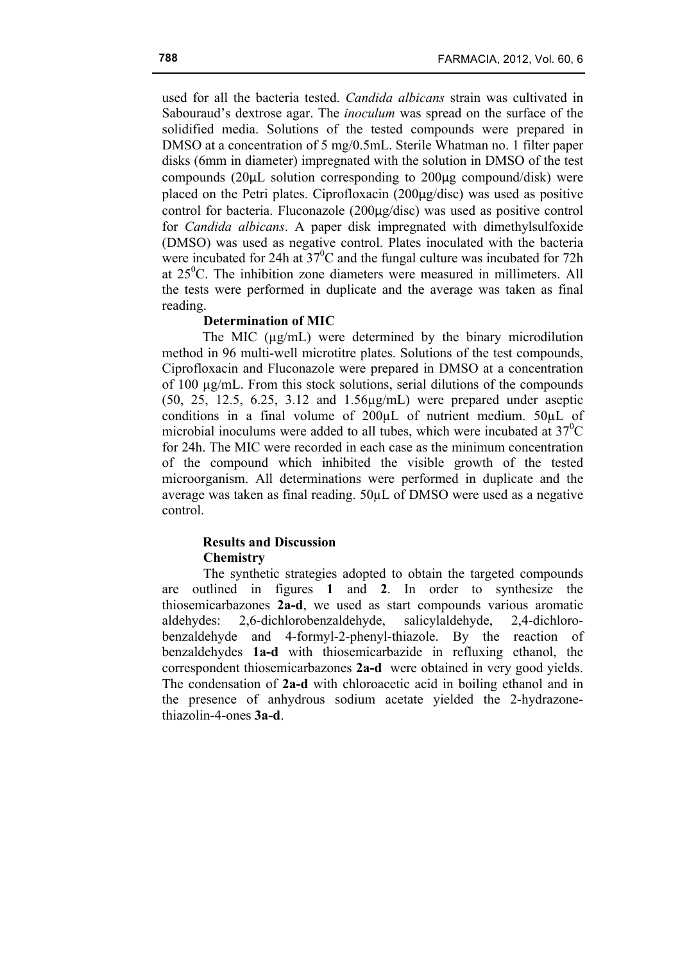used for all the bacteria tested. *Candida albicans* strain was cultivated in Sabouraud's dextrose agar. The *inoculum* was spread on the surface of the solidified media. Solutions of the tested compounds were prepared in DMSO at a concentration of 5 mg/0.5mL. Sterile Whatman no. 1 filter paper disks (6mm in diameter) impregnated with the solution in DMSO of the test compounds (20µL solution corresponding to 200µg compound/disk) were placed on the Petri plates. Ciprofloxacin (200µg/disc) was used as positive control for bacteria. Fluconazole (200µg/disc) was used as positive control for *Candida albicans*. A paper disk impregnated with dimethylsulfoxide (DMSO) was used as negative control. Plates inoculated with the bacteria were incubated for 24h at  $37^{\circ}$ C and the fungal culture was incubated for 72h at 25<sup>°</sup>C. The inhibition zone diameters were measured in millimeters. All the tests were performed in duplicate and the average was taken as final reading.

### **Determination of MIC**

The MIC  $(\mu g/mL)$  were determined by the binary microdilution method in 96 multi-well microtitre plates. Solutions of the test compounds, Ciprofloxacin and Fluconazole were prepared in DMSO at a concentration of 100 µg/mL. From this stock solutions, serial dilutions of the compounds (50, 25, 12.5, 6.25, 3.12 and 1.56µg/mL) were prepared under aseptic conditions in a final volume of 200µL of nutrient medium. 50µL of microbial inoculums were added to all tubes, which were incubated at  $37^{\circ}$ C for 24h. The MIC were recorded in each case as the minimum concentration of the compound which inhibited the visible growth of the tested microorganism. All determinations were performed in duplicate and the average was taken as final reading. 50µL of DMSO were used as a negative control.

### **Results and Discussion Chemistry**

The synthetic strategies adopted to obtain the targeted compounds are outlined in figures **1** and **2**. In order to synthesize the thiosemicarbazones **2a-d**, we used as start compounds various aromatic aldehydes: 2,6-dichlorobenzaldehyde, salicylaldehyde, 2,4-dichlorobenzaldehyde and 4-formyl-2-phenyl-thiazole. By the reaction of benzaldehydes **1a-d** with thiosemicarbazide in refluxing ethanol, the correspondent thiosemicarbazones **2a-d** were obtained in very good yields. The condensation of **2a-d** with chloroacetic acid in boiling ethanol and in the presence of anhydrous sodium acetate yielded the 2-hydrazonethiazolin-4-ones **3a-d**.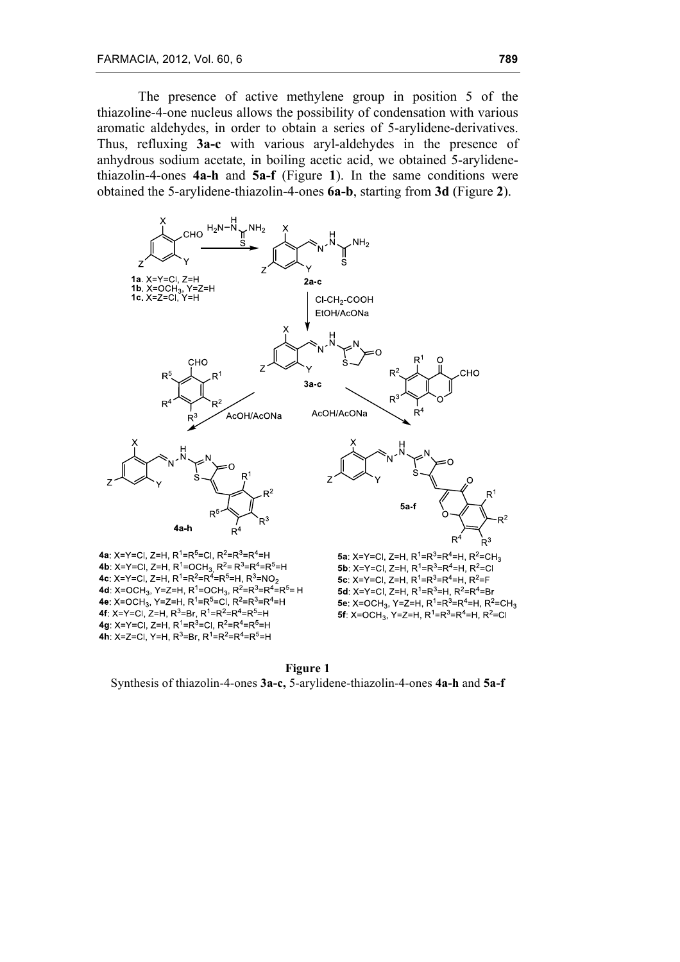The presence of active methylene group in position 5 of the thiazoline-4-one nucleus allows the possibility of condensation with various aromatic aldehydes, in order to obtain a series of 5-arylidene-derivatives. Thus, refluxing **3a-c** with various aryl-aldehydes in the presence of anhydrous sodium acetate, in boiling acetic acid, we obtained 5-arylidenethiazolin-4-ones **4a-h** and **5a-f** (Figure **1**). In the same conditions were obtained the 5-arylidene-thiazolin-4-ones **6a-b**, starting from **3d** (Figure **2**).



**Figure 1** Synthesis of thiazolin-4-ones **3a-c,** 5-arylidene-thiazolin-4-ones **4a-h** and **5a-f**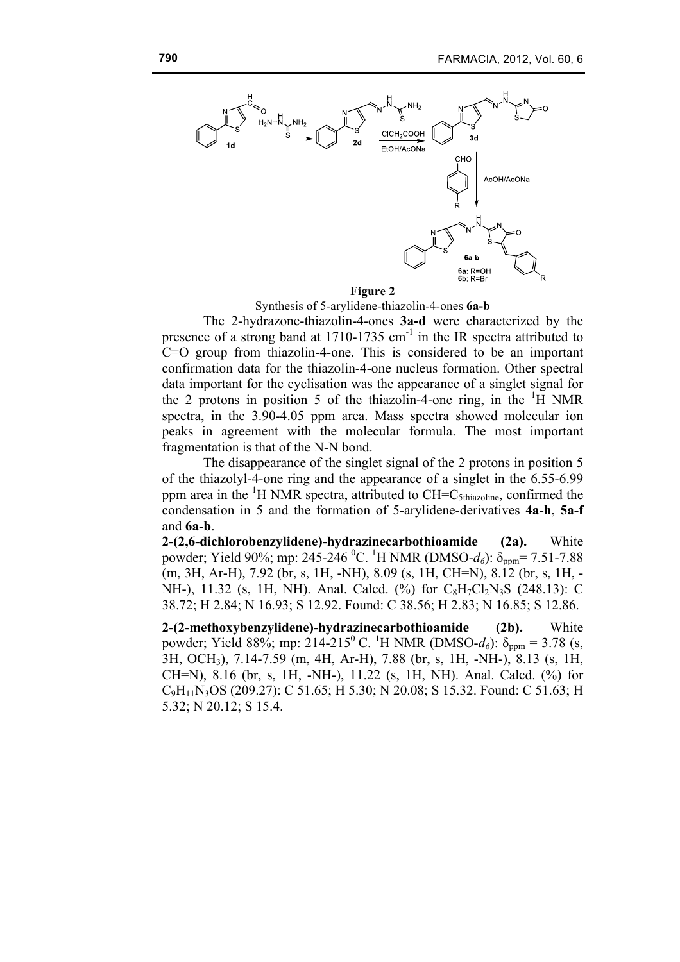

#### **Figure 2**

Synthesis of 5-arylidene-thiazolin-4-ones **6a-b**

The 2-hydrazone-thiazolin-4-ones **3a-d** were characterized by the presence of a strong band at  $1710-1735$  cm<sup>-1</sup> in the IR spectra attributed to C=O group from thiazolin-4-one. This is considered to be an important confirmation data for the thiazolin-4-one nucleus formation. Other spectral data important for the cyclisation was the appearance of a singlet signal for the 2 protons in position 5 of the thiazolin-4-one ring, in the  $\mathrm{^{1}H}$  NMR spectra, in the 3.90-4.05 ppm area. Mass spectra showed molecular ion peaks in agreement with the molecular formula. The most important fragmentation is that of the N-N bond.

The disappearance of the singlet signal of the 2 protons in position 5 of the thiazolyl-4-one ring and the appearance of a singlet in the 6.55-6.99 ppm area in the  ${}^{1}H$  NMR spectra, attributed to CH=C<sub>5thiazoline</sub>, confirmed the condensation in 5 and the formation of 5-arylidene-derivatives **4a-h**, **5a-f** and **6a-b**.

**2-(2,6-dichlorobenzylidene)-hydrazinecarbothioamide (2a).** White powder; Yield 90%; mp: 245-246 <sup>0</sup>C. <sup>1</sup>H NMR (DMSO- $d_6$ ):  $\delta_{\text{ppm}}$ = 7.51-7.88 (m, 3H, Ar-H), 7.92 (br, s, 1H, -NH), 8.09 (s, 1H, CH=N), 8.12 (br, s, 1H, - NH-), 11.32 (s, 1H, NH). Anal. Calcd. (%) for  $C_8H_7Cl_2N_3S$  (248.13): C 38.72; H 2.84; N 16.93; S 12.92. Found: C 38.56; H 2.83; N 16.85; S 12.86.

**2-(2-methoxybenzylidene)-hydrazinecarbothioamide (2b).** White powder; Yield 88%; mp: 214-215<sup>0</sup> C. <sup>1</sup>H NMR (DMSO- $d_6$ ):  $\delta_{ppm} = 3.78$  (s, 3H, OCH3), 7.14-7.59 (m, 4H, Ar-H), 7.88 (br, s, 1H, -NH-), 8.13 (s, 1H, CH=N), 8.16 (br, s, 1H, -NH-), 11.22 (s, 1H, NH). Anal. Calcd. (%) for C9H11N3OS (209.27): C 51.65; H 5.30; N 20.08; S 15.32. Found: C 51.63; H 5.32; N 20.12; S 15.4.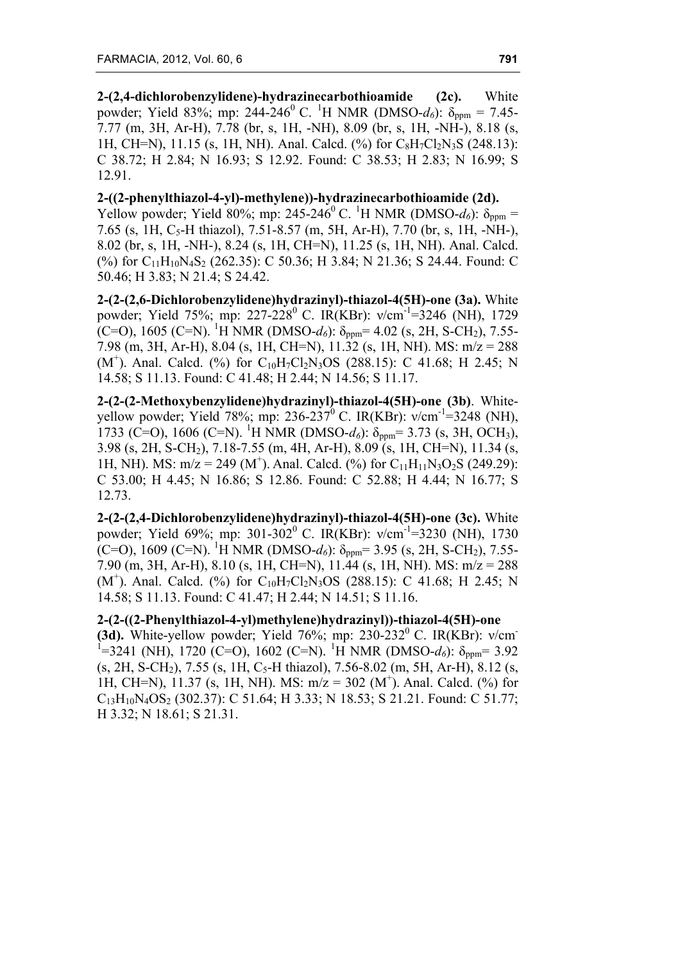**2-(2,4-dichlorobenzylidene)-hydrazinecarbothioamide (2c).** White powder; Yield 83%; mp: 244-246<sup>0</sup> C. <sup>1</sup>H NMR (DMSO- $d_6$ ):  $\delta_{\text{ppm}} = 7.45$ -7.77 (m, 3H, Ar-H), 7.78 (br, s, 1H, -NH), 8.09 (br, s, 1H, -NH-), 8.18 (s, 1H, CH=N), 11.15 (s, 1H, NH). Anal. Calcd. (%) for  $C_8H_7Cl_2N_3S$  (248.13): C 38.72; H 2.84; N 16.93; S 12.92. Found: C 38.53; H 2.83; N 16.99; S 12.91.

### **2-((2-phenylthiazol-4-yl)-methylene))-hydrazinecarbothioamide (2d).**

Yellow powder; Yield 80%; mp: 245-246<sup>0</sup> C. <sup>1</sup>H NMR (DMSO- $d_0$ ):  $\delta_{ppm} =$ 7.65 (s, 1H, C<sub>5</sub>-H thiazol), 7.51-8.57 (m, 5H, Ar-H), 7.70 (br, s, 1H, -NH-), 8.02 (br, s, 1H, -NH-), 8.24 (s, 1H, CH=N), 11.25 (s, 1H, NH). Anal. Calcd. (%) for C<sub>11</sub>H<sub>10</sub>N<sub>4</sub>S<sub>2</sub> (262.35): C 50.36; H 3.84; N 21.36; S 24.44. Found: C 50.46; H 3.83; N 21.4; S 24.42.

**2-(2-(2,6-Dichlorobenzylidene)hydrazinyl)-thiazol-4(5H)-one (3a).** White powder; Yield 75%; mp: 227-228<sup>0</sup> C. IR(KBr): v/cm<sup>-1</sup>=3246 (NH), 1729 (C=O), 1605 (C=N). <sup>1</sup>H NMR (DMSO- $d_6$ ):  $\delta_{ppm}$ = 4.02 (s, 2H, S-CH<sub>2</sub>), 7.55-7.98 (m, 3H, Ar-H), 8.04 (s, 1H, CH=N), 11.32 (s, 1H, NH). MS: m/z = 288  $(M<sup>+</sup>)$ . Anal. Calcd. (%) for C<sub>10</sub>H<sub>7</sub>Cl<sub>2</sub>N<sub>3</sub>OS (288.15): C 41.68; H 2.45; N 14.58; S 11.13. Found: C 41.48; H 2.44; N 14.56; S 11.17.

**2-(2-(2-Methoxybenzylidene)hydrazinyl)-thiazol-4(5H)-one (3b)**. Whiteyellow powder; Yield 78%; mp: 236-237<sup>0</sup> C. IR(KBr):  $v/cm^{-1}$ =3248 (NH), 1733 (C=O), 1606 (C=N). <sup>1</sup>H NMR (DMSO- $d_6$ ): δ<sub>ppm</sub>= 3.73 (s, 3H, OCH<sub>3</sub>), 3.98 (s, 2H, S-CH2), 7.18-7.55 (m, 4H, Ar-H), 8.09 (s, 1H, CH=N), 11.34 (s, 1H, NH). MS:  $m/z = 249$  (M<sup>+</sup>). Anal. Calcd. (%) for C<sub>11</sub>H<sub>11</sub>N<sub>3</sub>O<sub>2</sub>S (249.29): C 53.00; H 4.45; N 16.86; S 12.86. Found: C 52.88; H 4.44; N 16.77; S 12.73.

**2-(2-(2,4-Dichlorobenzylidene)hydrazinyl)-thiazol-4(5H)-one (3c).** White powder; Yield 69%; mp: 301-302<sup>0</sup> C. IR(KBr): v/cm<sup>-1</sup>=3230 (NH), 1730 (C=O), 1609 (C=N). <sup>1</sup>H NMR (DMSO- $d_6$ ):  $\delta_{ppm}$ = 3.95 (s, 2H, S-CH<sub>2</sub>), 7.55-7.90 (m, 3H, Ar-H), 8.10 (s, 1H, CH=N), 11.44 (s, 1H, NH). MS: m/z = 288  $(M<sup>+</sup>)$ . Anal. Calcd. (%) for C<sub>10</sub>H<sub>7</sub>Cl<sub>2</sub>N<sub>3</sub>OS (288.15): C 41.68; H 2.45; N 14.58; S 11.13. Found: C 41.47; H 2.44; N 14.51; S 11.16.

# **2-(2-((2-Phenylthiazol-4-yl)methylene)hydrazinyl))-thiazol-4(5H)-one**

**(3d).** White-yellow powder; Yield 76%; mp:  $230-232^{\circ}$  C. IR(KBr):  $v/cm$ <sup>1</sup>=3241 (NH), 1720 (C=O), 1602 (C=N). <sup>1</sup>H NMR (DMSO-*d<sub>6</sub>*): δ<sub>ppm</sub>= 3.92  $(s, 2H, S-CH<sub>2</sub>), 7.55$  (s, 1H, C<sub>5</sub>-H thiazol), 7.56-8.02 (m, 5H, Ar-H), 8.12 (s, 1H, CH=N), 11.37 (s, 1H, NH). MS:  $m/z = 302$  (M<sup>+</sup>). Anal. Calcd. (%) for  $C_{13}H_{10}N_4OS_2$  (302.37): C 51.64; H 3.33; N 18.53; S 21.21. Found: C 51.77; H 3.32; N 18.61; S 21.31.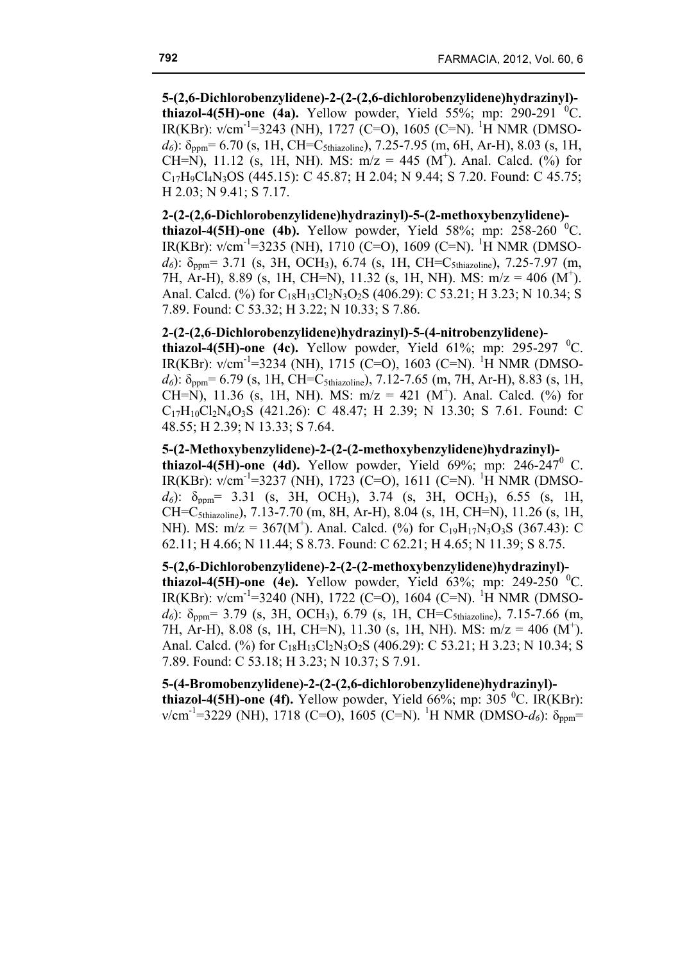**5-(2,6-Dichlorobenzylidene)-2-(2-(2,6-dichlorobenzylidene)hydrazinyl) thiazol-4(5H)-one (4a).** Yellow powder, Yield  $55\%$ ; mp: 290-291 <sup>0</sup>C. IR(KBr): v/cm<sup>-1</sup>=3243 (NH), 1727 (C=O), 1605 (C=N). <sup>1</sup>H NMR (DMSO $d_6$ ):  $\delta_{\text{nnm}}$ = 6.70 (s, 1H, CH=C<sub>5thiazoline</sub>), 7.25-7.95 (m, 6H, Ar-H), 8.03 (s, 1H, CH=N), 11.12 (s, 1H, NH). MS:  $m/z = 445$  (M<sup>+</sup>). Anal. Calcd. (%) for  $C_{17}H_9C_{4}N_3OS$  (445.15): C 45.87; H 2.04; N 9.44; S 7.20. Found: C 45.75; H 2.03; N 9.41; S 7.17.

**2-(2-(2,6-Dichlorobenzylidene)hydrazinyl)-5-(2-methoxybenzylidene) thiazol-4(5H)-one (4b).** Yellow powder, Yield 58%; mp: 258-260  $^{\circ}$ C. IR(KBr): v/cm<sup>-1</sup>=3235 (NH), 1710 (C=O), 1609 (C=N). <sup>1</sup>H NMR (DMSO $d_6$ ):  $\delta_{\text{ppm}}$  = 3.71 (s, 3H, OCH<sub>3</sub>), 6.74 (s, 1H, CH=C<sub>5thiazoline</sub>), 7.25-7.97 (m, 7H, Ar-H), 8.89 (s, 1H, CH=N), 11.32 (s, 1H, NH). MS: m/z = 406 (M<sup>+</sup>). Anal. Calcd. (%) for C<sub>18</sub>H<sub>13</sub>Cl<sub>2</sub>N<sub>3</sub>O<sub>2</sub>S (406.29): C 53.21; H 3.23; N 10.34; S 7.89. Found: C 53.32; H 3.22; N 10.33; S 7.86.

# **2-(2-(2,6-Dichlorobenzylidene)hydrazinyl)-5-(4-nitrobenzylidene)-**

**thiazol-4(5H)-one (4c).** Yellow powder, Yield 61%; mp: 295-297 <sup>0</sup>C. IR(KBr): v/cm<sup>-1</sup>=3234 (NH), 1715 (C=O), 1603 (C=N). <sup>1</sup>H NMR (DMSO $d_6$ ):  $\delta_{\text{ppm}}$ = 6.79 (s, 1H, CH=C<sub>5thiazoline</sub>), 7.12-7.65 (m, 7H, Ar-H), 8.83 (s, 1H, CH=N), 11.36 (s, 1H, NH). MS:  $m/z = 421$  (M<sup>+</sup>). Anal. Calcd. (%) for  $C_{17}H_{10}Cl_2N_4O_3S$  (421.26): C 48.47; H 2.39; N 13.30; S 7.61. Found: C 48.55; H 2.39; N 13.33; S 7.64.

**5-(2-Methoxybenzylidene)-2-(2-(2-methoxybenzylidene)hydrazinyl) thiazol-4(5H)-one (4d).** Yellow powder, Yield  $69\%$ ; mp: 246-247<sup>0</sup> C. IR(KBr): v/cm<sup>-1</sup>=3237 (NH), 1723 (C=O), 1611 (C=N). <sup>1</sup>H NMR (DMSO $d_6$ ):  $\delta_{\text{ppm}}$  = 3.31 (s, 3H, OCH<sub>3</sub>), 3.74 (s, 3H, OCH<sub>3</sub>), 6.55 (s, 1H, CH=C5thiazoline), 7.13-7.70 (m, 8H, Ar-H), 8.04 (s, 1H, CH=N), 11.26 (s, 1H, NH). MS:  $m/z = 367(M^+)$ . Anal. Calcd. (%) for C<sub>19</sub>H<sub>17</sub>N<sub>3</sub>O<sub>3</sub>S (367.43): C 62.11; H 4.66; N 11.44; S 8.73. Found: C 62.21; H 4.65; N 11.39; S 8.75.

**5-(2,6-Dichlorobenzylidene)-2-(2-(2-methoxybenzylidene)hydrazinyl) thiazol-4(5H)-one (4e).** Yellow powder, Yield  $63\%$ ; mp: 249-250<sup> $0$ </sup>C. IR(KBr): v/cm<sup>-1</sup>=3240 (NH), 1722 (C=O), 1604 (C=N). <sup>1</sup>H NMR (DMSO $d_6$ ):  $\delta_{\text{ppm}}$  = 3.79 (s, 3H, OCH<sub>3</sub>), 6.79 (s, 1H, CH=C<sub>5thiazoline</sub>), 7.15-7.66 (m, 7H, Ar-H), 8.08 (s, 1H, CH=N), 11.30 (s, 1H, NH). MS: m/z = 406 (M<sup>+</sup>). Anal. Calcd. (%) for  $C_{18}H_{13}Cl_2N_3O_2S$  (406.29): C 53.21; H 3.23; N 10.34; S 7.89. Found: C 53.18; H 3.23; N 10.37; S 7.91.

**5-(4-Bromobenzylidene)-2-(2-(2,6-dichlorobenzylidene)hydrazinyl) thiazol-4(5H)-one (4f).** Yellow powder, Yield 66%; mp: 305  $^0C$ . IR(KBr):  $v/cm^{-1}$ =3229 (NH), 1718 (C=O), 1605 (C=N). <sup>1</sup>H NMR (DMSO- $d_6$ ): δ<sub>ppm</sub>=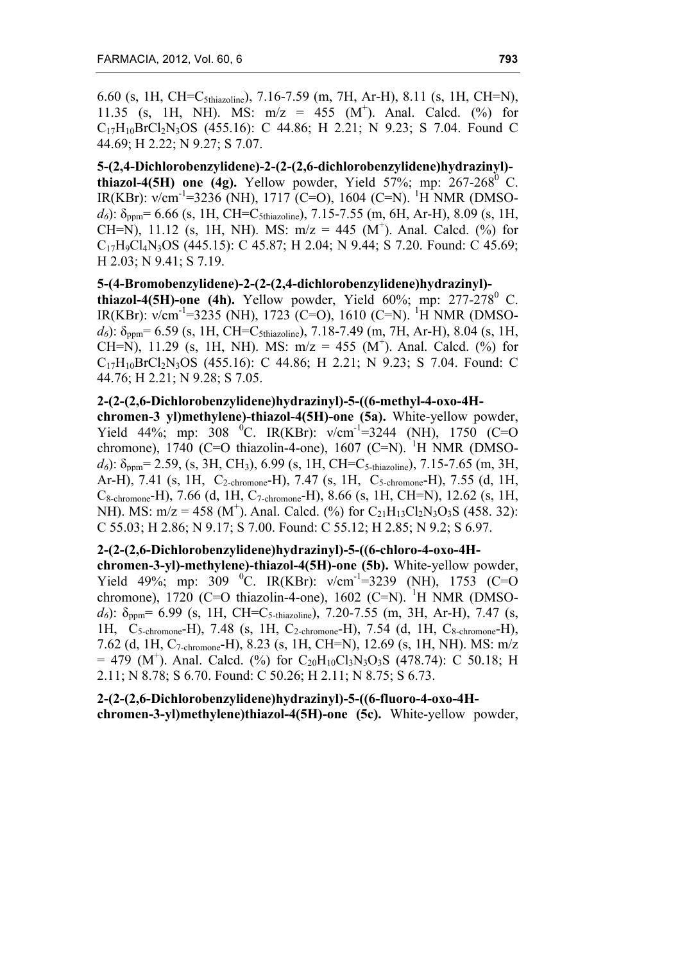6.60 (s, 1H, CH=C5thiazoline), 7.16-7.59 (m, 7H, Ar-H), 8.11 (s, 1H, CH=N), 11.35 (s, 1H, NH). MS:  $m/z = 455$  (M<sup>+</sup>). Anal. Calcd. (%) for  $C_{17}H_{10}BrCl<sub>2</sub>N<sub>3</sub>OS$  (455.16): C 44.86; H 2.21; N 9.23; S 7.04. Found C 44.69; H 2.22; N 9.27; S 7.07.

**5-(2,4-Dichlorobenzylidene)-2-(2-(2,6-dichlorobenzylidene)hydrazinyl) thiazol-4(5H)** one (4g). Yellow powder, Yield 57%; mp:  $267-268^\circ$  C. IR(KBr): v/cm<sup>-1</sup>=3236 (NH), 1717 (C=O), 1604 (C=N). <sup>1</sup>H NMR (DMSO $d_6$ ):  $\delta_{\text{ppm}}$ = 6.66 (s, 1H, CH=C<sub>5thiazoline</sub>), 7.15-7.55 (m, 6H, Ar-H), 8.09 (s, 1H, CH=N), 11.12 (s, 1H, NH). MS:  $m/z = 445$  (M<sup>+</sup>). Anal. Calcd. (%) for  $C_{17}H_9Cl_4N_3OS$  (445.15): C 45.87; H 2.04; N 9.44; S 7.20. Found: C 45.69; H 2.03; N 9.41; S 7.19.

#### **5-(4-Bromobenzylidene)-2-(2-(2,4-dichlorobenzylidene)hydrazinyl)-**

**thiazol-4(5H)-one (4h).** Yellow powder, Yield  $60\%$ ; mp:  $277-278^\circ$  C. IR(KBr): v/cm<sup>-1</sup>=3235 (NH), 1723 (C=O), 1610 (C=N). <sup>1</sup>H NMR (DMSO $d_6$ ):  $\delta_{\text{ppm}}$ = 6.59 (s, 1H, CH=C<sub>5thiazoline</sub>), 7.18-7.49 (m, 7H, Ar-H), 8.04 (s, 1H, CH=N), 11.29 (s, 1H, NH). MS:  $m/z = 455$  (M<sup>+</sup>). Anal. Calcd. (%) for  $C_{17}H_{10}BrCl<sub>2</sub>N<sub>3</sub>OS$  (455.16): C 44.86; H 2.21; N 9.23; S 7.04. Found: C 44.76; H 2.21; N 9.28; S 7.05.

# **2-(2-(2,6-Dichlorobenzylidene)hydrazinyl)-5-((6-methyl-4-oxo-4H-**

**chromen-3 yl)methylene)-thiazol-4(5H)-one (5a).** White-yellow powder, Yield 44%; mp: 308 <sup>0</sup>C. IR(KBr):  $v/cm^{-1} = 3244$  (NH), 1750 (C=O) chromone), 1740 (C=O thiazolin-4-one), 1607 (C=N). <sup>1</sup>H NMR (DMSO $d_6$ ):  $\delta_{\text{ppm}}$  = 2.59, (s, 3H, CH<sub>3</sub>), 6.99 (s, 1H, CH=C<sub>5-thiazoline</sub>), 7.15-7.65 (m, 3H, Ar-H), 7.41 (s, 1H, C<sub>2-chromone</sub>-H), 7.47 (s, 1H, C<sub>5-chromone</sub>-H), 7.55 (d, 1H, C8-chromone-H), 7.66 (d, 1H, C7-chromone-H), 8.66 (s, 1H, CH=N), 12.62 (s, 1H, NH). MS:  $m/z = 458$  (M<sup>+</sup>). Anal. Calcd. (%) for C<sub>21</sub>H<sub>13</sub>Cl<sub>2</sub>N<sub>3</sub>O<sub>3</sub>S (458. 32): C 55.03; H 2.86; N 9.17; S 7.00. Found: C 55.12; H 2.85; N 9.2; S 6.97.

### **2-(2-(2,6-Dichlorobenzylidene)hydrazinyl)-5-((6-chloro-4-oxo-4H-**

**chromen-3-yl)-methylene)-thiazol-4(5H)-one (5b).** White-yellow powder, Yield 49%; mp: 309 <sup>o</sup>C. IR(KBr):  $v/cm^{-1} = 3239$  (NH), 1753 (C=O chromone), 1720 (C=O thiazolin-4-one), 1602 (C=N). <sup>1</sup>H NMR (DMSO $d_6$ ):  $\delta_{\text{ppm}}$  = 6.99 (s, 1H, CH=C<sub>5-thiazoline</sub>), 7.20-7.55 (m, 3H, Ar-H), 7.47 (s, 1H, C5-chromone-H), 7.48 (s, 1H, C2-chromone-H), 7.54 (d, 1H, C8-chromone-H), 7.62 (d, 1H, C7-chromone-H), 8.23 (s, 1H, CH=N), 12.69 (s, 1H, NH). MS: m/z  $= 479$  (M<sup>+</sup>). Anal. Calcd. (%) for C<sub>20</sub>H<sub>10</sub>Cl<sub>3</sub>N<sub>3</sub>O<sub>3</sub>S (478.74): C 50.18; H 2.11; N 8.78; S 6.70. Found: C 50.26; H 2.11; N 8.75; S 6.73.

# **2-(2-(2,6-Dichlorobenzylidene)hydrazinyl)-5-((6-fluoro-4-oxo-4H-**

**chromen-3-yl)methylene)thiazol-4(5H)-one (5c).** White-yellow powder,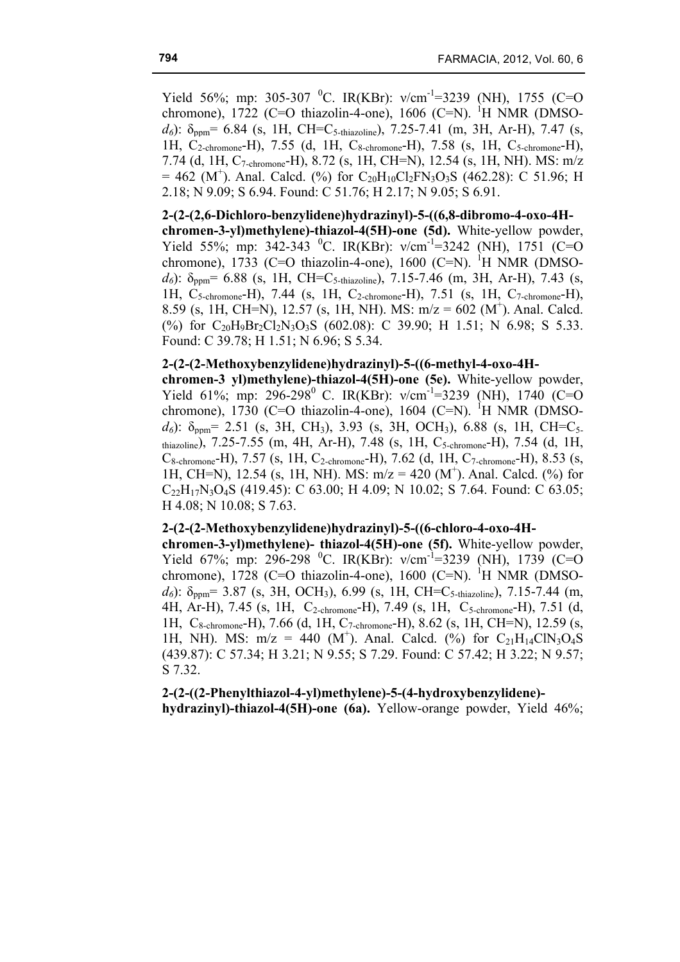Yield 56%; mp: 305-307 <sup>0</sup>C. IR(KBr):  $v/cm^{-1}$ =3239 (NH), 1755 (C=O chromone), 1722 (C=O thiazolin-4-one), 1606 (C=N). <sup>1</sup>H NMR (DMSO $d_6$ ):  $\delta_{\text{ppm}}$ = 6.84 (s, 1H, CH=C<sub>5-thiazoline</sub>), 7.25-7.41 (m, 3H, Ar-H), 7.47 (s, 1H, C2-chromone-H), 7.55 (d, 1H, C8-chromone-H), 7.58 (s, 1H, C5-chromone-H), 7.74 (d, 1H, C7-chromone-H), 8.72 (s, 1H, CH=N), 12.54 (s, 1H, NH). MS: m/z  $= 462$  (M<sup>+</sup>). Anal. Calcd. (%) for C<sub>20</sub>H<sub>10</sub>Cl<sub>2</sub>FN<sub>3</sub>O<sub>3</sub>S (462.28): C 51.96; H 2.18; N 9.09; S 6.94. Found: C 51.76; H 2.17; N 9.05; S 6.91.

**2-(2-(2,6-Dichloro-benzylidene)hydrazinyl)-5-((6,8-dibromo-4-oxo-4Hchromen-3-yl)methylene)-thiazol-4(5H)-one (5d).** White-yellow powder, Yield 55%; mp: 342-343 <sup>0</sup>C. IR(KBr):  $v/cm^{-1}$ =3242 (NH), 1751 (C=O chromone), 1733 (C=O thiazolin-4-one), 1600 (C=N). <sup>1</sup>H NMR (DMSO*d6*): δppm= 6.88 (s, 1H, CH=C5-thiazoline), 7.15-7.46 (m, 3H, Ar-H), 7.43 (s, 1H, C5-chromone-H), 7.44 (s, 1H, C2-chromone-H), 7.51 (s, 1H, C7-chromone-H), 8.59 (s, 1H, CH=N), 12.57 (s, 1H, NH). MS:  $m/z = 602$  (M<sup>+</sup>). Anal. Calcd. (%) for  $C_{20}H_9Br_2Cl_2N_3O_3S$  (602.08): C 39.90; H 1.51; N 6.98; S 5.33. Found: C 39.78; H 1.51; N 6.96; S 5.34.

### **2-(2-(2-Methoxybenzylidene)hydrazinyl)-5-((6-methyl-4-oxo-4H-**

**chromen-3 yl)methylene)-thiazol-4(5H)-one (5e).** White-yellow powder, Yield 61%; mp: 296-298<sup>0</sup> C. IR(KBr):  $v/cm^{-1}$ =3239 (NH), 1740 (C=O chromone), 1730 (C=O thiazolin-4-one), 1604 (C=N). <sup>1</sup>H NMR (DMSO $d_6$ ):  $\delta_{\text{ppm}}$ = 2.51 (s, 3H, CH<sub>3</sub>), 3.93 (s, 3H, OCH<sub>3</sub>), 6.88 (s, 1H, CH=C<sub>5</sub>. thiazoline), 7.25-7.55 (m, 4H, Ar-H), 7.48 (s, 1H, C5-chromone-H), 7.54 (d, 1H, C8-chromone-H), 7.57 (s, 1H, C2-chromone-H), 7.62 (d, 1H, C7-chromone-H), 8.53 (s, 1H, CH=N), 12.54 (s, 1H, NH). MS:  $m/z = 420$  (M<sup>+</sup>). Anal. Calcd. (%) for  $C_{22}H_{17}N_3O_4S$  (419.45): C 63.00; H 4.09; N 10.02; S 7.64. Found: C 63.05; H 4.08; N 10.08; S 7.63.

### **2-(2-(2-Methoxybenzylidene)hydrazinyl)-5-((6-chloro-4-oxo-4H-**

**chromen-3-yl)methylene)- thiazol-4(5H)-one (5f).** White-yellow powder, Yield 67%; mp: 296-298 <sup>0</sup>C. IR(KBr):  $v/cm^{-1}$ =3239 (NH), 1739 (C=O chromone), 1728 (C=O thiazolin-4-one), 1600 (C=N). <sup>1</sup>H NMR (DMSO $d_6$ ):  $\delta_{\text{ppm}}$  = 3.87 (s, 3H, OCH<sub>3</sub>), 6.99 (s, 1H, CH=C<sub>5-thiazoline</sub>), 7.15-7.44 (m, 4H, Ar-H), 7.45 (s, 1H, C2-chromone-H), 7.49 (s, 1H, C5-chromone-H), 7.51 (d, 1H, C8-chromone-H), 7.66 (d, 1H, C7-chromone-H), 8.62 (s, 1H, CH=N), 12.59 (s, 1H, NH). MS:  $m/z = 440$  (M<sup>+</sup>). Anal. Calcd. (%) for C<sub>21</sub>H<sub>14</sub>ClN<sub>3</sub>O<sub>4</sub>S (439.87): C 57.34; H 3.21; N 9.55; S 7.29. Found: C 57.42; H 3.22; N 9.57; S 7.32.

**2-(2-((2-Phenylthiazol-4-yl)methylene)-5-(4-hydroxybenzylidene) hydrazinyl)-thiazol-4(5H)-one (6a).** Yellow-orange powder, Yield 46%;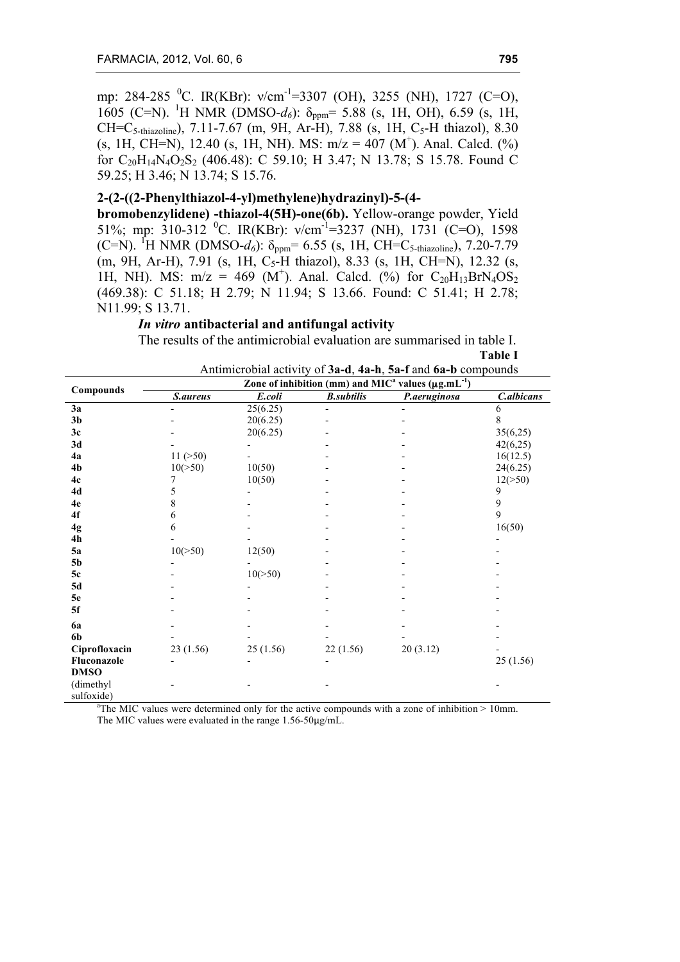mp: 284-285 <sup>0</sup>C. IR(KBr): v/cm<sup>-1</sup>=3307 (OH), 3255 (NH), 1727 (C=O), 1605 (C=N). <sup>1</sup>H NMR (DMSO-*d<sub>6</sub>*): δ<sub>ppm</sub>= 5.88 (s, 1H, OH), 6.59 (s, 1H,  $CH=C_{5\text{-thiazoline}}$ , 7.11-7.67 (m, 9H, Ar-H), 7.88 (s, 1H, C<sub>5</sub>-H thiazol), 8.30  $(s, 1H, CH=N)$ , 12.40  $(s, 1H, NH)$ . MS:  $m/z = 407 (M^+)$ . Anal. Calcd.  $(\%)$ for C<sub>20</sub>H<sub>14</sub>N<sub>4</sub>O<sub>2</sub>S<sub>2</sub> (406.48): C 59.10; H 3.47; N 13.78; S 15.78. Found C 59.25; H 3.46; N 13.74; S 15.76.

### **2-(2-((2-Phenylthiazol-4-yl)methylene)hydrazinyl)-5-(4-**

**bromobenzylidene) -thiazol-4(5H)-one(6b).** Yellow-orange powder, Yield 51%; mp: 310-312 <sup>0</sup>C. IR(KBr):  $v/cm^{-1}$ =3237 (NH), 1731 (C=O), 1598 (C=N). <sup>1</sup>H NMR (DMSO- $d_6$ ):  $\delta_{ppm}$ = 6.55 (s, 1H, CH=C<sub>5-thiazoline</sub>), 7.20-7.79 (m, 9H, Ar-H), 7.91 (s, 1H, C<sub>5</sub>-H thiazol), 8.33 (s, 1H, CH=N), 12.32 (s, 1H, NH). MS:  $m/z = 469$  (M<sup>+</sup>). Anal. Calcd. (%) for C<sub>20</sub>H<sub>13</sub>BrN<sub>4</sub>OS<sub>2</sub> (469.38): C 51.18; H 2.79; N 11.94; S 13.66. Found: C 51.41; H 2.78; N11.99; S 13.71.

### *In vitro* **antibacterial and antifungal activity**

The results of the antimicrobial evaluation are summarised in table I. **Table I**

| Antimicrobial activity of 3a-d, 4a-h, 5a-f and 6a-b compounds |
|---------------------------------------------------------------|
|---------------------------------------------------------------|

| Compounds      | Zone of inhibition (mm) and $MICa$ values ( $\mu g.mL^{-1}$ ) |            |                   |              |            |
|----------------|---------------------------------------------------------------|------------|-------------------|--------------|------------|
|                | S.aureus                                                      | E.coli     | <b>B.subtilis</b> | P.aeruginosa | C.albicans |
| 3a             |                                                               | 25(6.25)   |                   |              | 6          |
| 3 <sub>b</sub> |                                                               | 20(6.25)   |                   |              | 8          |
| 3c             |                                                               | 20(6.25)   |                   |              | 35(6,25)   |
| 3d             |                                                               |            |                   |              | 42(6,25)   |
| 4a             | 11 (>50)                                                      |            |                   |              | 16(12.5)   |
| 4b             | $10(>=50)$                                                    | 10(50)     |                   |              | 24(6.25)   |
| 4c             | 7                                                             | 10(50)     |                   |              | 12(>50)    |
| 4d             | 5                                                             |            |                   |              | 9          |
| 4e             | 8                                                             |            |                   |              | 9          |
| 4f             | 6                                                             |            |                   |              | 9          |
| 4g             | 6                                                             |            |                   |              | 16(50)     |
| 4h             |                                                               |            |                   |              |            |
| 5a             | 10(>50)                                                       | 12(50)     |                   |              |            |
| 5 <sub>b</sub> |                                                               |            |                   |              |            |
| 5c             |                                                               | $10(>=50)$ |                   |              |            |
| 5d             |                                                               |            |                   |              |            |
| 5e             |                                                               |            |                   |              |            |
| 5f             |                                                               |            |                   |              |            |
| <b>6a</b>      |                                                               |            |                   |              |            |
| 6b             |                                                               |            |                   |              |            |
| Ciprofloxacin  | 23(1.56)                                                      | 25(1.56)   | 22(1.56)          | 20(3.12)     |            |
| Fluconazole    |                                                               |            |                   |              | 25(1.56)   |
| <b>DMSO</b>    |                                                               |            |                   |              |            |
| (dimethyl      |                                                               |            |                   |              |            |
| sulfoxide)     |                                                               |            |                   |              |            |

<sup>a</sup>The MIC values were determined only for the active compounds with a zone of inhibition  $> 10$ mm. The MIC values were evaluated in the range 1.56-50µg/mL.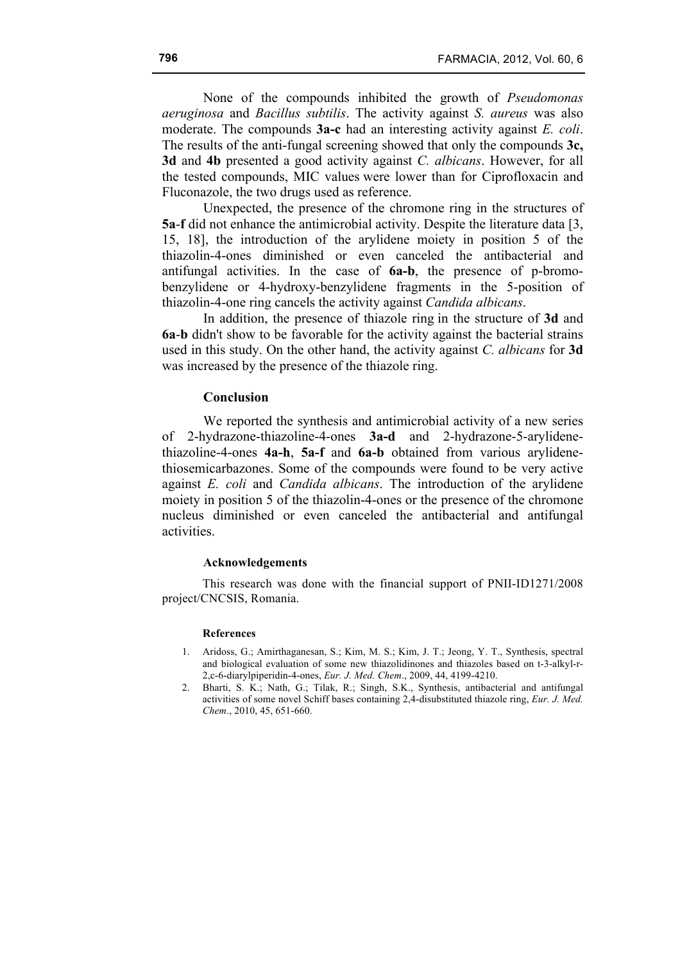None of the compounds inhibited the growth of *Pseudomonas aeruginosa* and *Bacillus subtilis*. The activity against *S. aureus* was also moderate. The compounds **3a-c** had an interesting activity against *E. coli*. The results of the anti-fungal screening showed that only the compounds **3c, 3d** and **4b** presented a good activity against *C. albicans*. However, for all the tested compounds, MIC values were lower than for Ciprofloxacin and Fluconazole, the two drugs used as reference.

Unexpected, the presence of the chromone ring in the structures of **5a**-**f** did not enhance the antimicrobial activity. Despite the literature data [3, 15, 18], the introduction of the arylidene moiety in position 5 of the thiazolin-4-ones diminished or even canceled the antibacterial and antifungal activities. In the case of **6a-b**, the presence of p-bromobenzylidene or 4-hydroxy-benzylidene fragments in the 5-position of thiazolin-4-one ring cancels the activity against *Candida albicans*.

In addition, the presence of thiazole ring in the structure of **3d** and **6a**-**b** didn't show to be favorable for the activity against the bacterial strains used in this study. On the other hand, the activity against *C. albicans* for **3d**  was increased by the presence of the thiazole ring.

### **Conclusion**

We reported the synthesis and antimicrobial activity of a new series of 2-hydrazone-thiazoline-4-ones **3a-d** and 2-hydrazone-5-arylidenethiazoline-4-ones **4a-h**, **5a-f** and **6a-b** obtained from various arylidenethiosemicarbazones. Some of the compounds were found to be very active against *E. coli* and *Candida albicans*. The introduction of the arylidene moiety in position 5 of the thiazolin-4-ones or the presence of the chromone nucleus diminished or even canceled the antibacterial and antifungal activities.

#### **Acknowledgements**

This research was done with the financial support of PNII-ID1271/2008 project/CNCSIS, Romania.

#### **References**

- 1. Aridoss, G.; Amirthaganesan, S.; Kim, M. S.; Kim, J. T.; Jeong, Y. T., Synthesis, spectral and biological evaluation of some new thiazolidinones and thiazoles based on t-3-alkyl-r-2,c-6-diarylpiperidin-4-ones, *Eur. J. Med. Chem*., 2009, 44, 4199-4210.
- 2. Bharti, S. K.; Nath, G.; Tilak, R.; Singh, S.K., Synthesis, antibacterial and antifungal activities of some novel Schiff bases containing 2,4-disubstituted thiazole ring, *Eur. J. Med. Chem*., 2010, 45, 651-660.